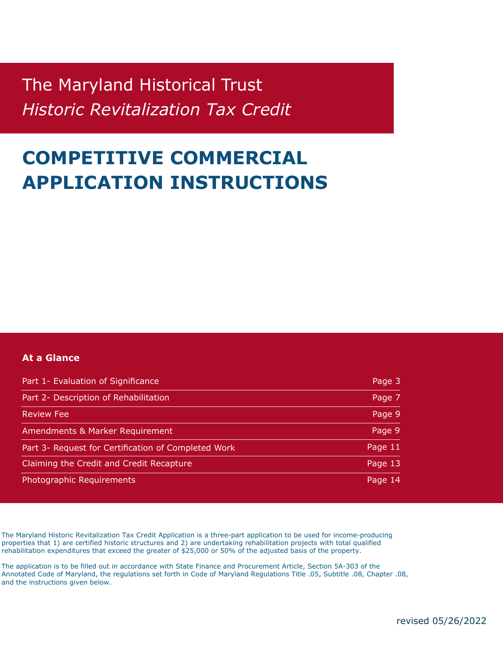# The Maryland Historical Trust *Historic Revitalization Tax Credit*

# **COMPETITIVE COMMERCIAL APPLICATION INSTRUCTIONS**

#### **At a Glance**

| Part 1- Evaluation of Significance                  | Page 3  |
|-----------------------------------------------------|---------|
| Part 2- Description of Rehabilitation               | Page 7  |
| <b>Review Fee</b>                                   | Page 9  |
| Amendments & Marker Requirement                     | Page 9  |
| Part 3- Request for Certification of Completed Work | Page 11 |
| Claiming the Credit and Credit Recapture            | Page 13 |
| Photographic Requirements                           | Page 14 |

The Maryland Historic Revitalization Tax Credit Application is a three-part application to be used for income-producing properties that 1) are certified historic structures and 2) are undertaking rehabilitation projects with total qualified rehabilitation expenditures that exceed the greater of \$25,000 or 50% of the adjusted basis of the property.

The application is to be filled out in accordance with State Finance and Procurement Article, Section 5A-303 of the Annotated Code of Maryland, the regulations set forth in Code of Maryland Regulations Title .05, Subtitle .08, Chapter .08, and the instructions given below.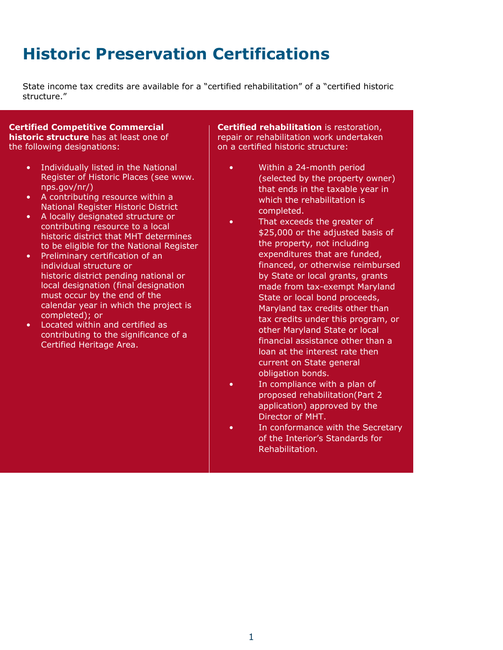# **Historic Preservation Certifications**

State income tax credits are available for a "certified rehabilitation" of a "certified historic structure."

**Certified Competitive Commercial historic structure** has at least one of the following designations:

- Individually listed in the National Register of Historic Places (see www. nps.gov/nr/)
- A contributing resource within a National Register Historic District
- A locally designated structure or contributing resource to a local historic district that MHT determines to be eligible for the National Register
- Preliminary certification of an individual structure or historic district pending national or local designation (final designation must occur by the end of the calendar year in which the project is completed); or
- Located within and certified as contributing to the significance of a Certified Heritage Area.

**Certified rehabilitation** is restoration, repair or rehabilitation work undertaken on a certified historic structure:

- Within a 24-month period (selected by the property owner) that ends in the taxable year in which the rehabilitation is completed.
- That exceeds the greater of \$25,000 or the adjusted basis of the property, not including expenditures that are funded, financed, or otherwise reimbursed by State or local grants, grants made from tax-exempt Maryland State or local bond proceeds, Maryland tax credits other than tax credits under this program, or other Maryland State or local financial assistance other than a loan at the interest rate then current on State general obligation bonds.
- In compliance with a plan of proposed rehabilitation(Part 2 application) approved by the Director of MHT.
- In conformance with the Secretary of the Interior's Standards for Rehabilitation.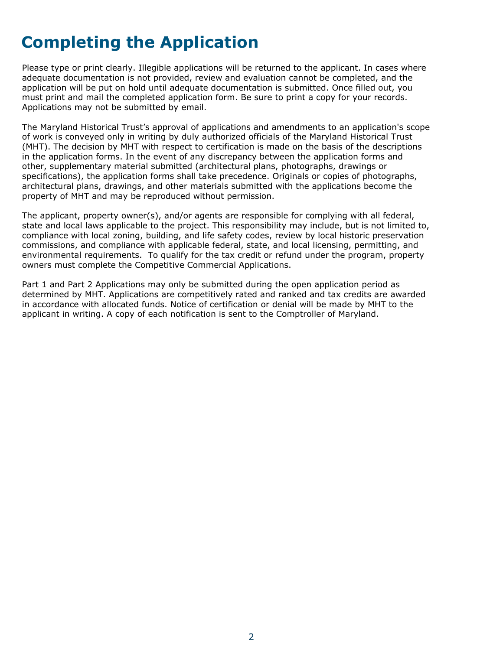# **Completing the Application**

Please type or print clearly. Illegible applications will be returned to the applicant. In cases where adequate documentation is not provided, review and evaluation cannot be completed, and the application will be put on hold until adequate documentation is submitted. Once filled out, you must print and mail the completed application form. Be sure to print a copy for your records. Applications may not be submitted by email.

The Maryland Historical Trust's approval of applications and amendments to an application's scope of work is conveyed only in writing by duly authorized officials of the Maryland Historical Trust (MHT). The decision by MHT with respect to certification is made on the basis of the descriptions in the application forms. In the event of any discrepancy between the application forms and other, supplementary material submitted (architectural plans, photographs, drawings or specifications), the application forms shall take precedence. Originals or copies of photographs, architectural plans, drawings, and other materials submitted with the applications become the property of MHT and may be reproduced without permission.

The applicant, property owner(s), and/or agents are responsible for complying with all federal, state and local laws applicable to the project. This responsibility may include, but is not limited to, compliance with local zoning, building, and life safety codes, review by local historic preservation commissions, and compliance with applicable federal, state, and local licensing, permitting, and environmental requirements. To qualify for the tax credit or refund under the program, property owners must complete the Competitive Commercial Applications.

Part 1 and Part 2 Applications may only be submitted during the open application period as determined by MHT. Applications are competitively rated and ranked and tax credits are awarded in accordance with allocated funds. Notice of certification or denial will be made by MHT to the applicant in writing. A copy of each notification is sent to the Comptroller of Maryland.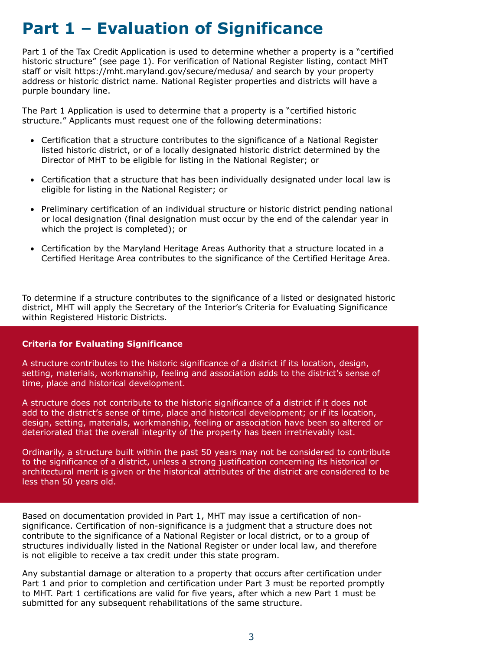# **Part 1 – Evaluation of Significance**

Part 1 of the Tax Credit Application is used to determine whether a property is a "certified historic structure" (see page 1). For verification of National Register listing, contact MHT staff or visit https://mht.maryland.gov/secure/medusa/ and search by your property address or historic district name. National Register properties and districts will have a purple boundary line.

The Part 1 Application is used to determine that a property is a "certified historic structure." Applicants must request one of the following determinations:

- Certification that a structure contributes to the significance of a National Register listed historic district, or of a locally designated historic district determined by the Director of MHT to be eligible for listing in the National Register; or
- Certification that a structure that has been individually designated under local law is eligible for listing in the National Register; or
- Preliminary certification of an individual structure or historic district pending national or local designation (final designation must occur by the end of the calendar year in which the project is completed); or
- Certification by the Maryland Heritage Areas Authority that a structure located in a Certified Heritage Area contributes to the significance of the Certified Heritage Area.

To determine if a structure contributes to the significance of a listed or designated historic district, MHT will apply the Secretary of the Interior's Criteria for Evaluating Significance within Registered Historic Districts.

#### **Criteria for Evaluating Significance**

A structure contributes to the historic significance of a district if its location, design, setting, materials, workmanship, feeling and association adds to the district's sense of time, place and historical development.

A structure does not contribute to the historic significance of a district if it does not add to the district's sense of time, place and historical development; or if its location, design, setting, materials, workmanship, feeling or association have been so altered or deteriorated that the overall integrity of the property has been irretrievably lost.

Ordinarily, a structure built within the past 50 years may not be considered to contribute to the significance of a district, unless a strong justification concerning its historical or architectural merit is given or the historical attributes of the district are considered to be less than 50 years old.

Based on documentation provided in Part 1, MHT may issue a certification of nonsignificance. Certification of non-significance is a judgment that a structure does not contribute to the significance of a National Register or local district, or to a group of structures individually listed in the National Register or under local law, and therefore is not eligible to receive a tax credit under this state program.

Any substantial damage or alteration to a property that occurs after certification under Part 1 and prior to completion and certification under Part 3 must be reported promptly to MHT. Part 1 certifications are valid for five years, after which a new Part 1 must be submitted for any subsequent rehabilitations of the same structure.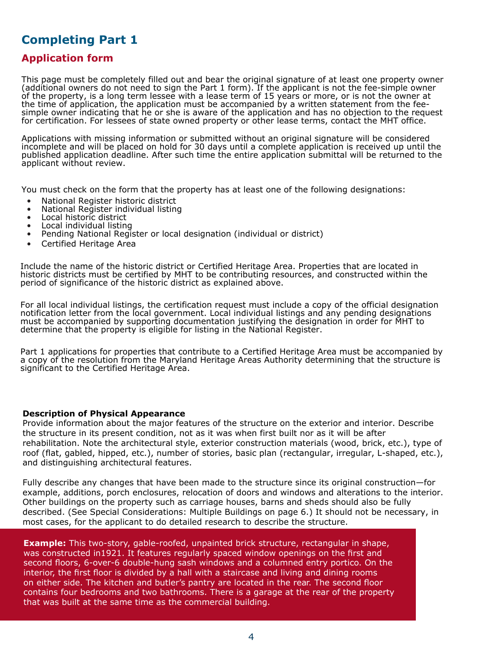# **Completing Part 1**

## **Application form**

This page must be completely filled out and bear the original signature of at least one property owner (additional owners do not need to sign the Part 1 form). If the applicant is not the fee-simple owner of the property, is a long term lessee with a lease term of 15 years or more, or is not the owner at the time of application, the application must be accompanied by a written statement from the feesimple owner indicating that he or she is aware of the application and has no objection to the request for certification. For lessees of state owned property or other lease terms, contact the MHT office.

Applications with missing information or submitted without an original signature will be considered incomplete and will be placed on hold for 30 days until a complete application is received up until the published application deadline. After such time the entire application submittal will be returned to the applicant without review.

You must check on the form that the property has at least one of the following designations:

- National Register historic district
- National Register individual listing<br>• Local historic district
- Local historic district<br>• Local individual listine
- Local individual listing<br>• Pending National Regis
- Pending National Register or local designation (individual or district)
- Certified Heritage Area

Include the name of the historic district or Certified Heritage Area. Properties that are located in historic districts must be certified by MHT to be contributing resources, and constructed within the period of significance of the historic district as explained above.

For all local individual listings, the certification request must include a copy of the official designation notification letter from the local government. Local individual listings and any pending designations must be accompanied by supporting documentation justifying the designation in order for MHT to determine that the property is eligible for listing in the National Register.

Part 1 applications for properties that contribute to a Certified Heritage Area must be accompanied by a copy of the resolution from the Maryland Heritage Areas Authority determining that the structure is significant to the Certified Heritage Area.

#### **Description of Physical Appearance**

Provide information about the major features of the structure on the exterior and interior. Describe the structure in its present condition, not as it was when first built nor as it will be after rehabilitation. Note the architectural style, exterior construction materials (wood, brick, etc.), type of roof (flat, gabled, hipped, etc.), number of stories, basic plan (rectangular, irregular, L-shaped, etc.), and distinguishing architectural features.

Fully describe any changes that have been made to the structure since its original construction—for example, additions, porch enclosures, relocation of doors and windows and alterations to the interior. Other buildings on the property such as carriage houses, barns and sheds should also be fully described. (See Special Considerations: Multiple Buildings on page 6.) It should not be necessary, in most cases, for the applicant to do detailed research to describe the structure.

**Example:** This two-story, gable-roofed, unpainted brick structure, rectangular in shape, was constructed in1921. It features regularly spaced window openings on the first and second floors, 6-over-6 double-hung sash windows and a columned entry portico. On the interior, the first floor is divided by a hall with a staircase and living and dining rooms on either side. The kitchen and butler's pantry are located in the rear. The second floor contains four bedrooms and two bathrooms. There is a garage at the rear of the property that was built at the same time as the commercial building.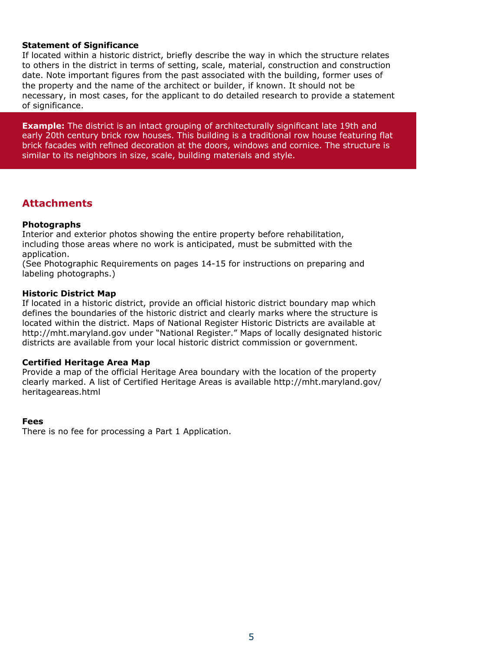#### **Statement of Significance**

If located within a historic district, briefly describe the way in which the structure relates to others in the district in terms of setting, scale, material, construction and construction date. Note important figures from the past associated with the building, former uses of the property and the name of the architect or builder, if known. It should not be necessary, in most cases, for the applicant to do detailed research to provide a statement of significance.

**Example:** The district is an intact grouping of architecturally significant late 19th and early 20th century brick row houses. This building is a traditional row house featuring flat brick facades with refined decoration at the doors, windows and cornice. The structure is similar to its neighbors in size, scale, building materials and style.

### **Attachments**

#### **Photographs**

Interior and exterior photos showing the entire property before rehabilitation, including those areas where no work is anticipated, must be submitted with the application.

(See Photographic Requirements on pages 14-15 for instructions on preparing and labeling photographs.)

#### **Historic District Map**

If located in a historic district, provide an official historic district boundary map which defines the boundaries of the historic district and clearly marks where the structure is located within the district. Maps of National Register Historic Districts are available at http://mht.maryland.gov under "National Register." Maps of locally designated historic districts are available from your local historic district commission or government.

#### **Certified Heritage Area Map**

Provide a map of the official Heritage Area boundary with the location of the property clearly marked. A list of Certified Heritage Areas is available http://mht.maryland.gov/ heritageareas.html

#### **Fees**

There is no fee for processing a Part 1 Application.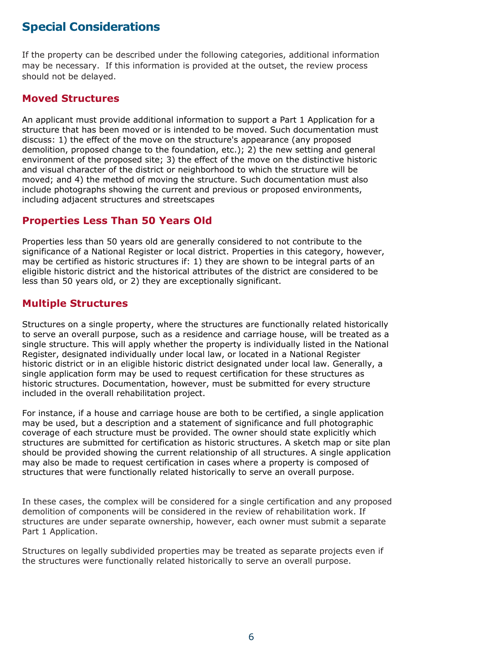# **Special Considerations**

If the property can be described under the following categories, additional information may be necessary. If this information is provided at the outset, the review process should not be delayed.

### **Moved Structures**

An applicant must provide additional information to support a Part 1 Application for a structure that has been moved or is intended to be moved. Such documentation must discuss: 1) the effect of the move on the structure's appearance (any proposed demolition, proposed change to the foundation, etc.); 2) the new setting and general environment of the proposed site; 3) the effect of the move on the distinctive historic and visual character of the district or neighborhood to which the structure will be moved; and 4) the method of moving the structure. Such documentation must also include photographs showing the current and previous or proposed environments, including adjacent structures and streetscapes

## **Properties Less Than 50 Years Old**

Properties less than 50 years old are generally considered to not contribute to the significance of a National Register or local district. Properties in this category, however, may be certified as historic structures if: 1) they are shown to be integral parts of an eligible historic district and the historical attributes of the district are considered to be less than 50 years old, or 2) they are exceptionally significant.

## **Multiple Structures**

Structures on a single property, where the structures are functionally related historically to serve an overall purpose, such as a residence and carriage house, will be treated as a single structure. This will apply whether the property is individually listed in the National Register, designated individually under local law, or located in a National Register historic district or in an eligible historic district designated under local law. Generally, a single application form may be used to request certification for these structures as historic structures. Documentation, however, must be submitted for every structure included in the overall rehabilitation project.

For instance, if a house and carriage house are both to be certified, a single application may be used, but a description and a statement of significance and full photographic coverage of each structure must be provided. The owner should state explicitly which structures are submitted for certification as historic structures. A sketch map or site plan should be provided showing the current relationship of all structures. A single application may also be made to request certification in cases where a property is composed of structures that were functionally related historically to serve an overall purpose.

In these cases, the complex will be considered for a single certification and any proposed demolition of components will be considered in the review of rehabilitation work. If structures are under separate ownership, however, each owner must submit a separate Part 1 Application.

Structures on legally subdivided properties may be treated as separate projects even if the structures were functionally related historically to serve an overall purpose.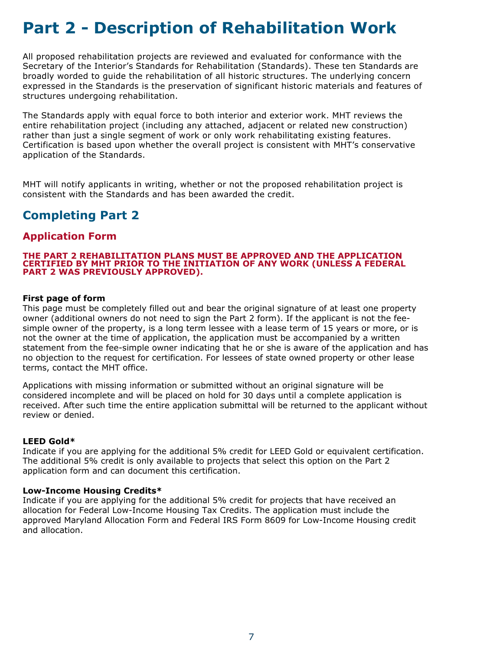# **Part 2 - Description of Rehabilitation Work**

All proposed rehabilitation projects are reviewed and evaluated for conformance with the Secretary of the Interior's Standards for Rehabilitation (Standards). These ten Standards are broadly worded to guide the rehabilitation of all historic structures. The underlying concern expressed in the Standards is the preservation of significant historic materials and features of structures undergoing rehabilitation.

The Standards apply with equal force to both interior and exterior work. MHT reviews the entire rehabilitation project (including any attached, adjacent or related new construction) rather than just a single segment of work or only work rehabilitating existing features. Certification is based upon whether the overall project is consistent with MHT's conservative application of the Standards.

MHT will notify applicants in writing, whether or not the proposed rehabilitation project is consistent with the Standards and has been awarded the credit.

# **Completing Part 2**

## **Application Form**

#### **THE PART 2 REHABILITATION PLANS MUST BE APPROVED AND THE APPLICATION CERTIFIED BY MHT PRIOR TO THE INITIATION OF ANY WORK (UNLESS A FEDERAL PART 2 WAS PREVIOUSLY APPROVED).**

#### **First page of form**

This page must be completely filled out and bear the original signature of at least one property owner (additional owners do not need to sign the Part 2 form). If the applicant is not the feesimple owner of the property, is a long term lessee with a lease term of 15 years or more, or is not the owner at the time of application, the application must be accompanied by a written statement from the fee-simple owner indicating that he or she is aware of the application and has no objection to the request for certification. For lessees of state owned property or other lease terms, contact the MHT office.

Applications with missing information or submitted without an original signature will be considered incomplete and will be placed on hold for 30 days until a complete application is received. After such time the entire application submittal will be returned to the applicant without review or denied.

#### **LEED Gold\***

Indicate if you are applying for the additional 5% credit for LEED Gold or equivalent certification. The additional 5% credit is only available to projects that select this option on the Part 2 application form and can document this certification.

#### **Low-Income Housing Credits\***

Indicate if you are applying for the additional 5% credit for projects that have received an allocation for Federal Low-Income Housing Tax Credits. The application must include the approved Maryland Allocation Form and Federal IRS Form 8609 for Low-Income Housing credit and allocation.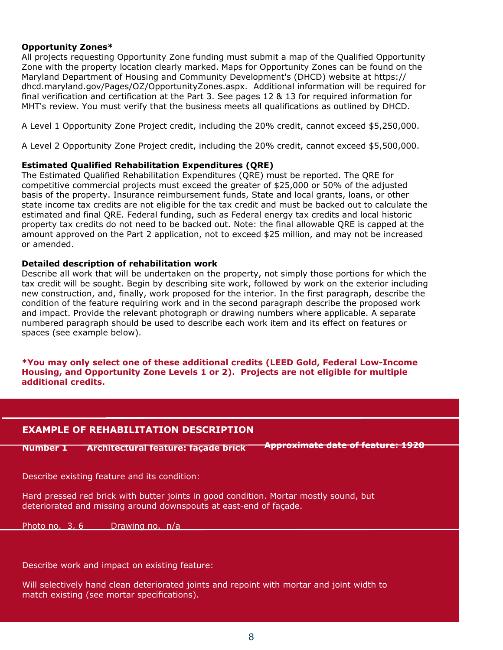#### **Opportunity Zones\***

All projects requesting Opportunity Zone funding must submit a map of the Qualified Opportunity Zone with the property location clearly marked. Maps for Opportunity Zones can be found on the Maryland Department of Housing and Community Development's (DHCD) website at https:// dhcd.maryland.gov/Pages/OZ/OpportunityZones.aspx. Additional information will be required for final verification and certification at the Part 3. See pages 12 & 13 for required information for MHT's review. You must verify that the business meets all qualifications as outlined by DHCD.

A Level 1 Opportunity Zone Project credit, including the 20% credit, cannot exceed \$5,250,000.

A Level 2 Opportunity Zone Project credit, including the 20% credit, cannot exceed \$5,500,000.

#### **Estimated Qualified Rehabilitation Expenditures (QRE)**

The Estimated Qualified Rehabilitation Expenditures (QRE) must be reported. The QRE for competitive commercial projects must exceed the greater of \$25,000 or 50% of the adjusted basis of the property. Insurance reimbursement funds, State and local grants, loans, or other state income tax credits are not eligible for the tax credit and must be backed out to calculate the estimated and final QRE. Federal funding, such as Federal energy tax credits and local historic property tax credits do not need to be backed out. Note: the final allowable QRE is capped at the amount approved on the Part 2 application, not to exceed \$25 million, and may not be increased or amended.

#### **Detailed description of rehabilitation work**

Describe all work that will be undertaken on the property, not simply those portions for which the tax credit will be sought. Begin by describing site work, followed by work on the exterior including new construction, and, finally, work proposed for the interior. In the first paragraph, describe the condition of the feature requiring work and in the second paragraph describe the proposed work and impact. Provide the relevant photograph or drawing numbers where applicable. A separate numbered paragraph should be used to describe each work item and its effect on features or spaces (see example below).

**\*You may only select one of these additional credits (LEED Gold, Federal Low-Income Housing, and Opportunity Zone Levels 1 or 2). Projects are not eligible for multiple additional credits.**

#### **EXAMPLE OF REHABILITATION DESCRIPTION**

**Number 1 Architectural feature: façade brick Approximate date of feature: 1920**

Describe existing feature and its condition:

Hard pressed red brick with butter joints in good condition. Mortar mostly sound, but deteriorated and missing around downspouts at east-end of façade.

Photo no. 3, 6 Drawing no. n/a

Describe work and impact on existing feature:

Will selectively hand clean deteriorated joints and repoint with mortar and joint width to match existing (see mortar specifications).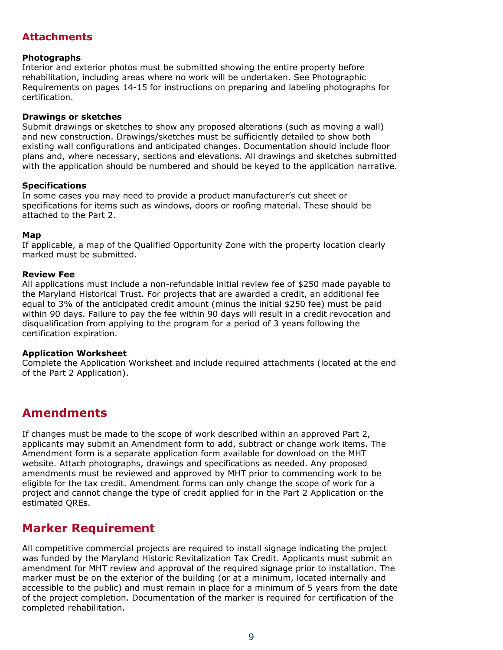## **Attachments**

#### **Photographs**

Interior and exterior photos must be submitted showing the entire property before rehabilitation, including areas where no work will be undertaken. See Photographic Requirements on pages 14-15 for instructions on preparing and labeling photographs for certification.

#### **Drawings or sketches**

Submit drawings or sketches to show any proposed alterations (such as moving a wall) and new construction. Drawings/sketches must be sufficiently detailed to show both existing wall configurations and anticipated changes. Documentation should include floor plans and, where necessary, sections and elevations. All drawings and sketches submitted with the application should be numbered and should be keyed to the application narrative.

#### **Specifications**

In some cases you may need to provide a product manufacturer's cut sheet or specifications for items such as windows, doors or roofing material. These should be attached to the Part 2.

#### **Map**

If applicable, a map of the Qualified Opportunity Zone with the property location clearly marked must be submitted.

#### **Review Fee**

All applications must include a non-refundable initial review fee of \$250 made payable to the Maryland Historical Trust. For projects that are awarded a credit, an additional fee equal to 3% of the anticipated credit amount (minus the initial \$250 fee) must be paid within 90 days. Failure to pay the fee within 90 days will result in a credit revocation and disqualification from applying to the program for a period of 3 years following the certification expiration.

#### **Application Worksheet**

Complete the Application Worksheet and include required attachments (located at the end of the Part 2 Application).

# **Amendments**

If changes must be made to the scope of work described within an approved Part 2, applicants may submit an Amendment form to add, subtract or change work items. The Amendment form is a separate application form available for download on the MHT website. Attach photographs, drawings and specifications as needed. Any proposed amendments must be reviewed and approved by MHT prior to commencing work to be eligible for the tax credit. Amendment forms can only change the scope of work for a project and cannot change the type of credit applied for in the Part 2 Application or the estimated QREs.

## **Marker Requirement**

All competitive commercial projects are required to install signage indicating the project was funded by the Maryland Historic Revitalization Tax Credit. Applicants must submit an amendment for MHT review and approval of the required signage prior to installation. The marker must be on the exterior of the building (or at a minimum, located internally and accessible to the public) and must remain in place for a minimum of 5 years from the date of the project completion. Documentation of the marker is required for certification of the completed rehabilitation.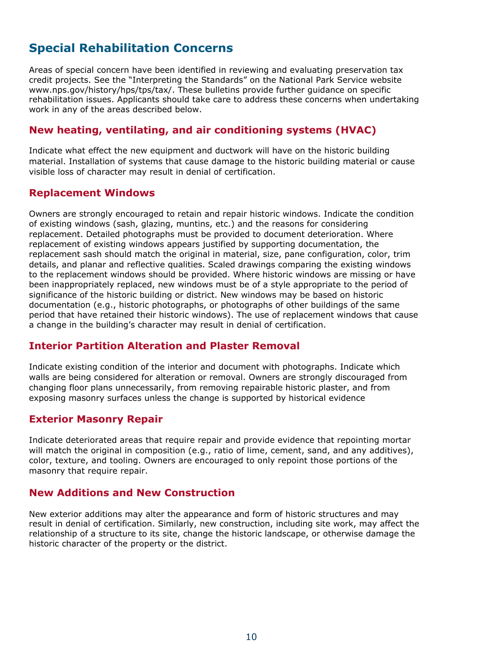# **Special Rehabilitation Concerns**

Areas of special concern have been identified in reviewing and evaluating preservation tax credit projects. See the "Interpreting the Standards" on the National Park Service website www.nps.gov/history/hps/tps/tax/. These bulletins provide further guidance on specific rehabilitation issues. Applicants should take care to address these concerns when undertaking work in any of the areas described below.

## **New heating, ventilating, and air conditioning systems (HVAC)**

Indicate what effect the new equipment and ductwork will have on the historic building material. Installation of systems that cause damage to the historic building material or cause visible loss of character may result in denial of certification.

### **Replacement Windows**

Owners are strongly encouraged to retain and repair historic windows. Indicate the condition of existing windows (sash, glazing, muntins, etc.) and the reasons for considering replacement. Detailed photographs must be provided to document deterioration. Where replacement of existing windows appears justified by supporting documentation, the replacement sash should match the original in material, size, pane configuration, color, trim details, and planar and reflective qualities. Scaled drawings comparing the existing windows to the replacement windows should be provided. Where historic windows are missing or have been inappropriately replaced, new windows must be of a style appropriate to the period of significance of the historic building or district. New windows may be based on historic documentation (e.g., historic photographs, or photographs of other buildings of the same period that have retained their historic windows). The use of replacement windows that cause a change in the building's character may result in denial of certification.

### **Interior Partition Alteration and Plaster Removal**

Indicate existing condition of the interior and document with photographs. Indicate which walls are being considered for alteration or removal. Owners are strongly discouraged from changing floor plans unnecessarily, from removing repairable historic plaster, and from exposing masonry surfaces unless the change is supported by historical evidence

### **Exterior Masonry Repair**

Indicate deteriorated areas that require repair and provide evidence that repointing mortar will match the original in composition (e.g., ratio of lime, cement, sand, and any additives), color, texture, and tooling. Owners are encouraged to only repoint those portions of the masonry that require repair.

### **New Additions and New Construction**

New exterior additions may alter the appearance and form of historic structures and may result in denial of certification. Similarly, new construction, including site work, may affect the relationship of a structure to its site, change the historic landscape, or otherwise damage the historic character of the property or the district.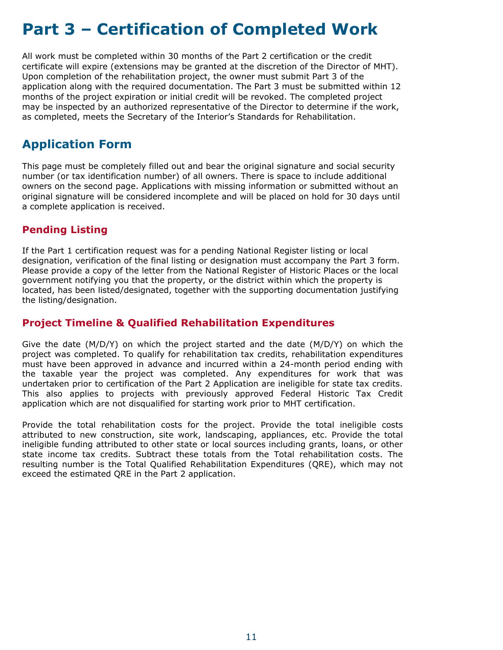# **Part 3 – Certification of Completed Work**

All work must be completed within 30 months of the Part 2 certification or the credit certificate will expire (extensions may be granted at the discretion of the Director of MHT). Upon completion of the rehabilitation project, the owner must submit Part 3 of the application along with the required documentation. The Part 3 must be submitted within 12 months of the project expiration or initial credit will be revoked. The completed project may be inspected by an authorized representative of the Director to determine if the work, as completed, meets the Secretary of the Interior's Standards for Rehabilitation.

# **Application Form**

This page must be completely filled out and bear the original signature and social security number (or tax identification number) of all owners. There is space to include additional owners on the second page. Applications with missing information or submitted without an original signature will be considered incomplete and will be placed on hold for 30 days until a complete application is received.

## **Pending Listing**

If the Part 1 certification request was for a pending National Register listing or local designation, verification of the final listing or designation must accompany the Part 3 form. Please provide a copy of the letter from the National Register of Historic Places or the local government notifying you that the property, or the district within which the property is located, has been listed/designated, together with the supporting documentation justifying the listing/designation.

## **Project Timeline & Qualified Rehabilitation Expenditures**

Give the date (M/D/Y) on which the project started and the date (M/D/Y) on which the project was completed. To qualify for rehabilitation tax credits, rehabilitation expenditures must have been approved in advance and incurred within a 24-month period ending with the taxable year the project was completed. Any expenditures for work that was undertaken prior to certification of the Part 2 Application are ineligible for state tax credits. This also applies to projects with previously approved Federal Historic Tax Credit application which are not disqualified for starting work prior to MHT certification.

Provide the total rehabilitation costs for the project. Provide the total ineligible costs attributed to new construction, site work, landscaping, appliances, etc. Provide the total ineligible funding attributed to other state or local sources including grants, loans, or other state income tax credits. Subtract these totals from the Total rehabilitation costs. The resulting number is the Total Qualified Rehabilitation Expenditures (QRE), which may not exceed the estimated QRE in the Part 2 application.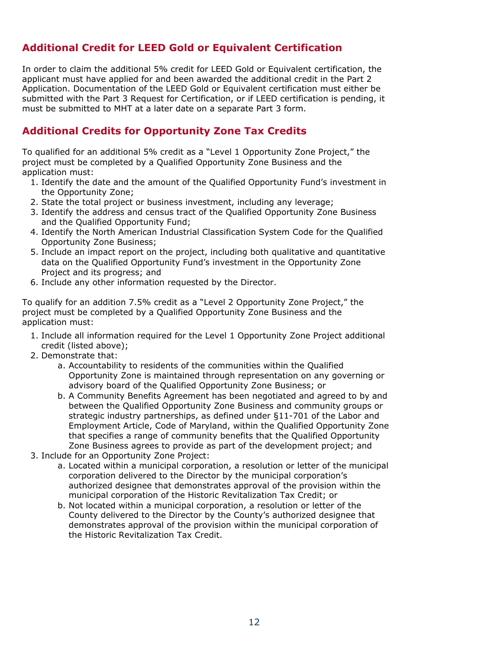## **Additional Credit for LEED Gold or Equivalent Certification**

In order to claim the additional 5% credit for LEED Gold or Equivalent certification, the applicant must have applied for and been awarded the additional credit in the Part 2 Application. Documentation of the LEED Gold or Equivalent certification must either be submitted with the Part 3 Request for Certification, or if LEED certification is pending, it must be submitted to MHT at a later date on a separate Part 3 form.

## **Additional Credits for Opportunity Zone Tax Credits**

To qualified for an additional 5% credit as a "Level 1 Opportunity Zone Project," the project must be completed by a Qualified Opportunity Zone Business and the application must:

- 1. Identify the date and the amount of the Qualified Opportunity Fund's investment in the Opportunity Zone;
- 2. State the total project or business investment, including any leverage;
- 3. Identify the address and census tract of the Qualified Opportunity Zone Business and the Qualified Opportunity Fund;
- 4. Identify the North American Industrial Classification System Code for the Qualified Opportunity Zone Business;
- 5. Include an impact report on the project, including both qualitative and quantitative data on the Qualified Opportunity Fund's investment in the Opportunity Zone Project and its progress; and
- 6. Include any other information requested by the Director.

To qualify for an addition 7.5% credit as a "Level 2 Opportunity Zone Project," the project must be completed by a Qualified Opportunity Zone Business and the application must:

- 1. Include all information required for the Level 1 Opportunity Zone Project additional credit (listed above);
- 2. Demonstrate that:
	- a. Accountability to residents of the communities within the Qualified Opportunity Zone is maintained through representation on any governing or advisory board of the Qualified Opportunity Zone Business; or
	- b. A Community Benefits Agreement has been negotiated and agreed to by and between the Qualified Opportunity Zone Business and community groups or strategic industry partnerships, as defined under §11-701 of the Labor and Employment Article, Code of Maryland, within the Qualified Opportunity Zone that specifies a range of community benefits that the Qualified Opportunity Zone Business agrees to provide as part of the development project; and
- 3. Include for an Opportunity Zone Project:
	- a. Located within a municipal corporation, a resolution or letter of the municipal corporation delivered to the Director by the municipal corporation's authorized designee that demonstrates approval of the provision within the municipal corporation of the Historic Revitalization Tax Credit; or
	- b. Not located within a municipal corporation, a resolution or letter of the County delivered to the Director by the County's authorized designee that demonstrates approval of the provision within the municipal corporation of the Historic Revitalization Tax Credit.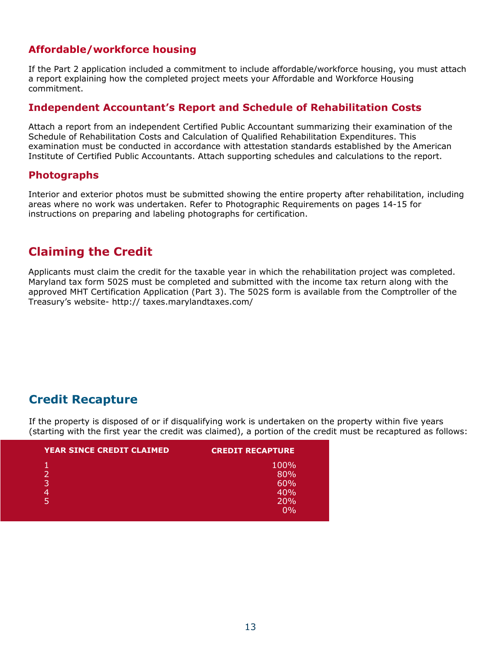## **Affordable/workforce housing**

If the Part 2 application included a commitment to include affordable/workforce housing, you must attach a report explaining how the completed project meets your Affordable and Workforce Housing commitment.

### **Independent Accountant's Report and Schedule of Rehabilitation Costs**

Attach a report from an independent Certified Public Accountant summarizing their examination of the Schedule of Rehabilitation Costs and Calculation of Qualified Rehabilitation Expenditures. This examination must be conducted in accordance with attestation standards established by the American Institute of Certified Public Accountants. Attach supporting schedules and calculations to the report.

### **Photographs**

Interior and exterior photos must be submitted showing the entire property after rehabilitation, including areas where no work was undertaken. Refer to Photographic Requirements on pages 14-15 for instructions on preparing and labeling photographs for certification.

# **Claiming the Credit**

Applicants must claim the credit for the taxable year in which the rehabilitation project was completed. Maryland tax form 502S must be completed and submitted with the income tax return along with the approved MHT Certification Application (Part 3). The 502S form is available from the Comptroller of the Treasury's website- http:// taxes.marylandtaxes.com/

# **Credit Recapture**

If the property is disposed of or if disqualifying work is undertaken on the property within five years (starting with the first year the credit was claimed), a portion of the credit must be recaptured as follows:

| <b>YEAR SINCE CREDIT CLAIMED</b> | <b>CREDIT RECAPTURE</b> |
|----------------------------------|-------------------------|
|                                  | 100%                    |
|                                  | 80%                     |
| ∍                                | 60%                     |
|                                  | 40%                     |
| 5                                | 20%                     |
|                                  | $0\%$                   |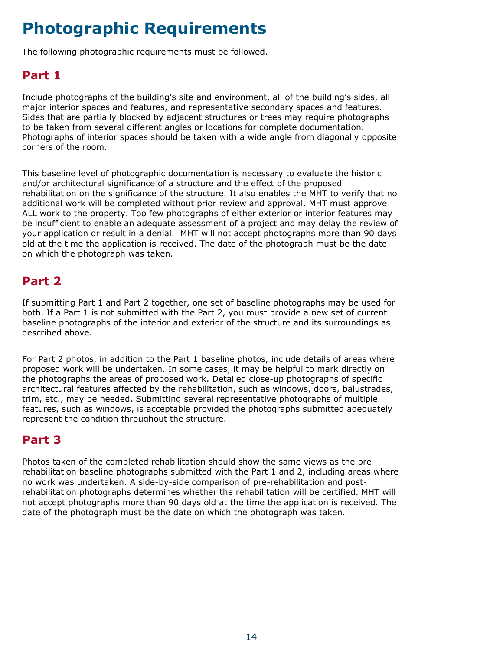# **Photographic Requirements**

The following photographic requirements must be followed.

# **Part 1**

Include photographs of the building's site and environment, all of the building's sides, all major interior spaces and features, and representative secondary spaces and features. Sides that are partially blocked by adjacent structures or trees may require photographs to be taken from several different angles or locations for complete documentation. Photographs of interior spaces should be taken with a wide angle from diagonally opposite corners of the room.

This baseline level of photographic documentation is necessary to evaluate the historic and/or architectural significance of a structure and the effect of the proposed rehabilitation on the significance of the structure. It also enables the MHT to verify that no additional work will be completed without prior review and approval. MHT must approve ALL work to the property. Too few photographs of either exterior or interior features may be insufficient to enable an adequate assessment of a project and may delay the review of your application or result in a denial. MHT will not accept photographs more than 90 days old at the time the application is received. The date of the photograph must be the date on which the photograph was taken.

## **Part 2**

If submitting Part 1 and Part 2 together, one set of baseline photographs may be used for both. If a Part 1 is not submitted with the Part 2, you must provide a new set of current baseline photographs of the interior and exterior of the structure and its surroundings as described above.

For Part 2 photos, in addition to the Part 1 baseline photos, include details of areas where proposed work will be undertaken. In some cases, it may be helpful to mark directly on the photographs the areas of proposed work. Detailed close-up photographs of specific architectural features affected by the rehabilitation, such as windows, doors, balustrades, trim, etc., may be needed. Submitting several representative photographs of multiple features, such as windows, is acceptable provided the photographs submitted adequately represent the condition throughout the structure.

# **Part 3**

Photos taken of the completed rehabilitation should show the same views as the prerehabilitation baseline photographs submitted with the Part 1 and 2, including areas where no work was undertaken. A side-by-side comparison of pre-rehabilitation and postrehabilitation photographs determines whether the rehabilitation will be certified. MHT will not accept photographs more than 90 days old at the time the application is received. The date of the photograph must be the date on which the photograph was taken.